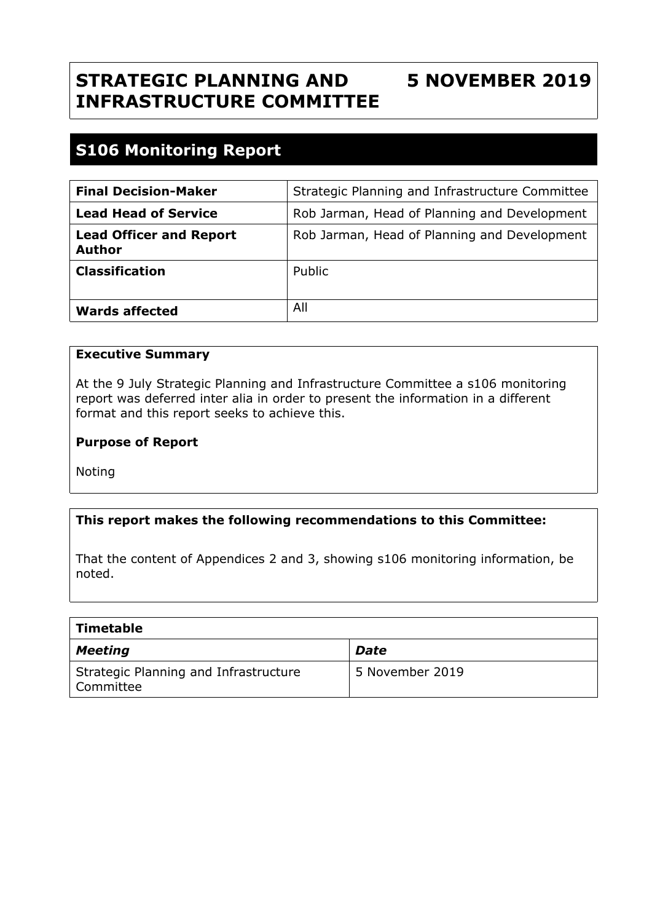## **STRATEGIC PLANNING AND INFRASTRUCTURE COMMITTEE 5 NOVEMBER 2019**

## **S106 Monitoring Report**

| <b>Final Decision-Maker</b>                     | Strategic Planning and Infrastructure Committee |
|-------------------------------------------------|-------------------------------------------------|
| <b>Lead Head of Service</b>                     | Rob Jarman, Head of Planning and Development    |
| <b>Lead Officer and Report</b><br><b>Author</b> | Rob Jarman, Head of Planning and Development    |
| <b>Classification</b>                           | Public                                          |
| <b>Wards affected</b>                           | All                                             |

## **Executive Summary**

At the 9 July Strategic Planning and Infrastructure Committee a s106 monitoring report was deferred inter alia in order to present the information in a different format and this report seeks to achieve this.

## **Purpose of Report**

Noting

## **This report makes the following recommendations to this Committee:**

That the content of Appendices 2 and 3, showing s106 monitoring information, be noted.

| Timetable                                          |                 |
|----------------------------------------------------|-----------------|
| <b>Meeting</b>                                     | Date            |
| Strategic Planning and Infrastructure<br>Committee | 5 November 2019 |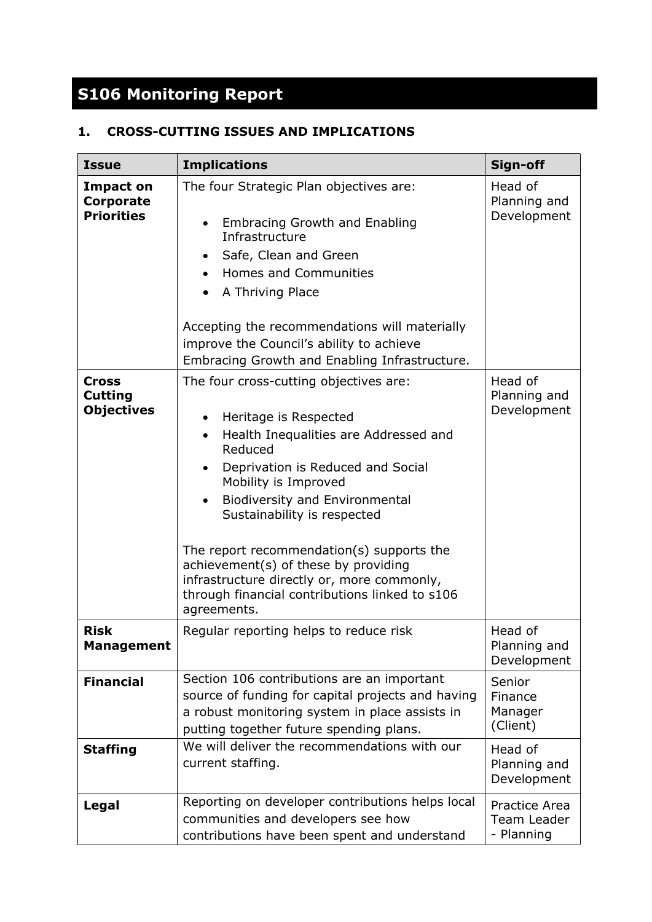# **S106 Monitoring Report**

## **1. CROSS-CUTTING ISSUES AND IMPLICATIONS**

| <b>Issue</b>                                              | <b>Implications</b>                                                                                                                                                                                                                                                                                                                                                                                                                                                | Sign-off                                   |
|-----------------------------------------------------------|--------------------------------------------------------------------------------------------------------------------------------------------------------------------------------------------------------------------------------------------------------------------------------------------------------------------------------------------------------------------------------------------------------------------------------------------------------------------|--------------------------------------------|
| <b>Impact on</b><br><b>Corporate</b><br><b>Priorities</b> | The four Strategic Plan objectives are:<br><b>Embracing Growth and Enabling</b><br>Infrastructure<br>Safe, Clean and Green<br><b>Homes and Communities</b><br>$\bullet$<br>A Thriving Place<br>Accepting the recommendations will materially<br>improve the Council's ability to achieve<br>Embracing Growth and Enabling Infrastructure.                                                                                                                          | Head of<br>Planning and<br>Development     |
| <b>Cross</b><br><b>Cutting</b><br><b>Objectives</b>       | The four cross-cutting objectives are:<br>Heritage is Respected<br>$\bullet$<br>Health Inequalities are Addressed and<br>Reduced<br>Deprivation is Reduced and Social<br>Mobility is Improved<br>Biodiversity and Environmental<br>Sustainability is respected<br>The report recommendation(s) supports the<br>achievement(s) of these by providing<br>infrastructure directly or, more commonly,<br>through financial contributions linked to s106<br>agreements. | Head of<br>Planning and<br>Development     |
| <b>Risk</b><br><b>Management</b>                          | Regular reporting helps to reduce risk                                                                                                                                                                                                                                                                                                                                                                                                                             | Head of<br>Planning and<br>Development     |
| <b>Financial</b>                                          | Section 106 contributions are an important<br>source of funding for capital projects and having<br>a robust monitoring system in place assists in<br>putting together future spending plans.                                                                                                                                                                                                                                                                       | Senior<br>Finance<br>Manager<br>(Client)   |
| <b>Staffing</b>                                           | We will deliver the recommendations with our<br>current staffing.                                                                                                                                                                                                                                                                                                                                                                                                  | Head of<br>Planning and<br>Development     |
| <b>Legal</b>                                              | Reporting on developer contributions helps local<br>communities and developers see how<br>contributions have been spent and understand                                                                                                                                                                                                                                                                                                                             | Practice Area<br>Team Leader<br>- Planning |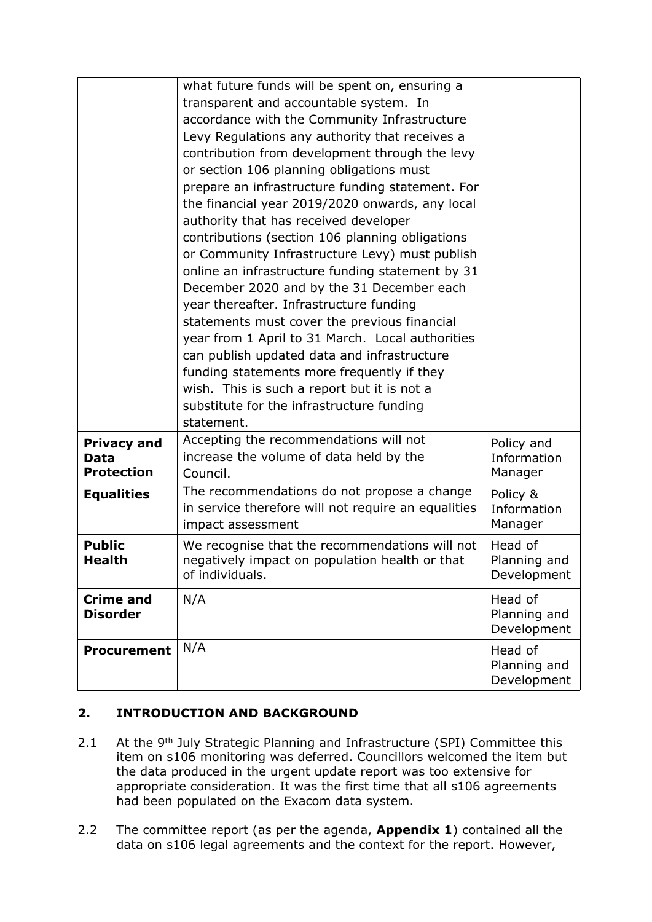|                                                        | what future funds will be spent on, ensuring a<br>transparent and accountable system. In<br>accordance with the Community Infrastructure<br>Levy Regulations any authority that receives a<br>contribution from development through the levy<br>or section 106 planning obligations must<br>prepare an infrastructure funding statement. For<br>the financial year 2019/2020 onwards, any local<br>authority that has received developer<br>contributions (section 106 planning obligations<br>or Community Infrastructure Levy) must publish<br>online an infrastructure funding statement by 31<br>December 2020 and by the 31 December each<br>year thereafter. Infrastructure funding<br>statements must cover the previous financial<br>year from 1 April to 31 March. Local authorities<br>can publish updated data and infrastructure<br>funding statements more frequently if they<br>wish. This is such a report but it is not a |                                        |
|--------------------------------------------------------|-------------------------------------------------------------------------------------------------------------------------------------------------------------------------------------------------------------------------------------------------------------------------------------------------------------------------------------------------------------------------------------------------------------------------------------------------------------------------------------------------------------------------------------------------------------------------------------------------------------------------------------------------------------------------------------------------------------------------------------------------------------------------------------------------------------------------------------------------------------------------------------------------------------------------------------------|----------------------------------------|
|                                                        | substitute for the infrastructure funding<br>statement.                                                                                                                                                                                                                                                                                                                                                                                                                                                                                                                                                                                                                                                                                                                                                                                                                                                                                   |                                        |
| <b>Privacy and</b><br><b>Data</b><br><b>Protection</b> | Accepting the recommendations will not<br>increase the volume of data held by the<br>Council.                                                                                                                                                                                                                                                                                                                                                                                                                                                                                                                                                                                                                                                                                                                                                                                                                                             | Policy and<br>Information<br>Manager   |
| <b>Equalities</b>                                      | The recommendations do not propose a change<br>in service therefore will not require an equalities<br>impact assessment                                                                                                                                                                                                                                                                                                                                                                                                                                                                                                                                                                                                                                                                                                                                                                                                                   | Policy &<br>Information<br>Manager     |
| <b>Public</b><br><b>Health</b>                         | We recognise that the recommendations will not<br>negatively impact on population health or that<br>of individuals.                                                                                                                                                                                                                                                                                                                                                                                                                                                                                                                                                                                                                                                                                                                                                                                                                       | Head of<br>Planning and<br>Development |
| <b>Crime and</b><br><b>Disorder</b>                    | N/A                                                                                                                                                                                                                                                                                                                                                                                                                                                                                                                                                                                                                                                                                                                                                                                                                                                                                                                                       | Head of<br>Planning and<br>Development |
| <b>Procurement</b>                                     | N/A                                                                                                                                                                                                                                                                                                                                                                                                                                                                                                                                                                                                                                                                                                                                                                                                                                                                                                                                       | Head of<br>Planning and<br>Development |

## **2. INTRODUCTION AND BACKGROUND**

- 2.1 At the 9<sup>th</sup> July Strategic Planning and Infrastructure (SPI) Committee this item on s106 monitoring was deferred. Councillors welcomed the item but the data produced in the urgent update report was too extensive for appropriate consideration. It was the first time that all s106 agreements had been populated on the Exacom data system.
- 2.2 The committee report (as per the agenda, **Appendix 1**) contained all the data on s106 legal agreements and the context for the report. However,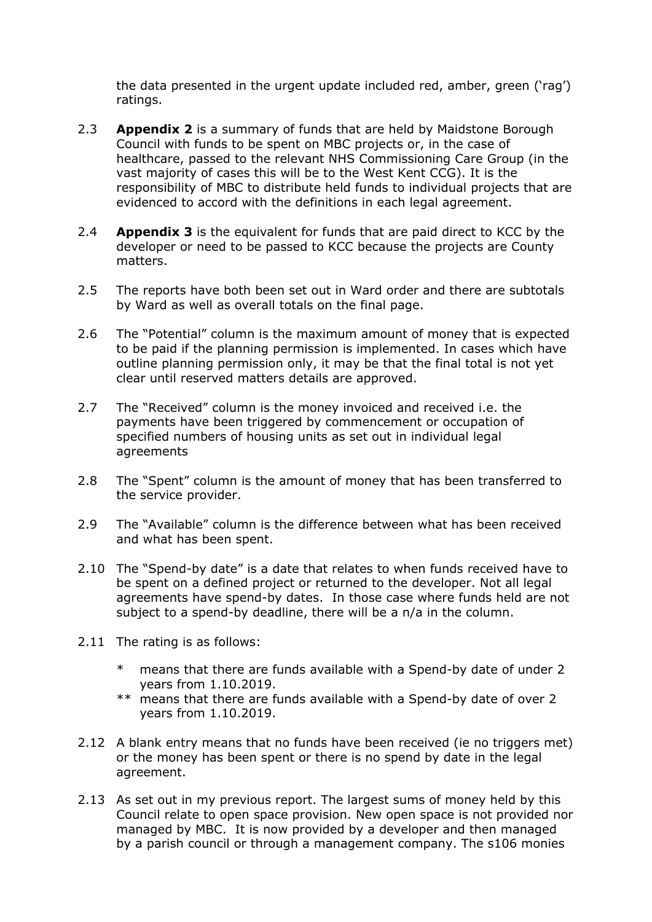the data presented in the urgent update included red, amber, green ('rag') ratings.

- 2.3 **Appendix 2** is a summary of funds that are held by Maidstone Borough Council with funds to be spent on MBC projects or, in the case of healthcare, passed to the relevant NHS Commissioning Care Group (in the vast majority of cases this will be to the West Kent CCG). It is the responsibility of MBC to distribute held funds to individual projects that are evidenced to accord with the definitions in each legal agreement.
- 2.4 **Appendix 3** is the equivalent for funds that are paid direct to KCC by the developer or need to be passed to KCC because the projects are County matters.
- 2.5 The reports have both been set out in Ward order and there are subtotals by Ward as well as overall totals on the final page.
- 2.6 The "Potential" column is the maximum amount of money that is expected to be paid if the planning permission is implemented. In cases which have outline planning permission only, it may be that the final total is not yet clear until reserved matters details are approved.
- 2.7 The "Received" column is the money invoiced and received i.e. the payments have been triggered by commencement or occupation of specified numbers of housing units as set out in individual legal agreements
- 2.8 The "Spent" column is the amount of money that has been transferred to the service provider.
- 2.9 The "Available" column is the difference between what has been received and what has been spent.
- 2.10 The "Spend-by date" is a date that relates to when funds received have to be spent on a defined project or returned to the developer. Not all legal agreements have spend-by dates. In those case where funds held are not subject to a spend-by deadline, there will be a n/a in the column.
- 2.11 The rating is as follows:
	- means that there are funds available with a Spend-by date of under 2 years from 1.10.2019.
	- \*\* means that there are funds available with a Spend-by date of over 2 years from 1.10.2019.
- 2.12 A blank entry means that no funds have been received (ie no triggers met) or the money has been spent or there is no spend by date in the legal agreement.
- 2.13 As set out in my previous report. The largest sums of money held by this Council relate to open space provision. New open space is not provided nor managed by MBC. It is now provided by a developer and then managed by a parish council or through a management company. The s106 monies